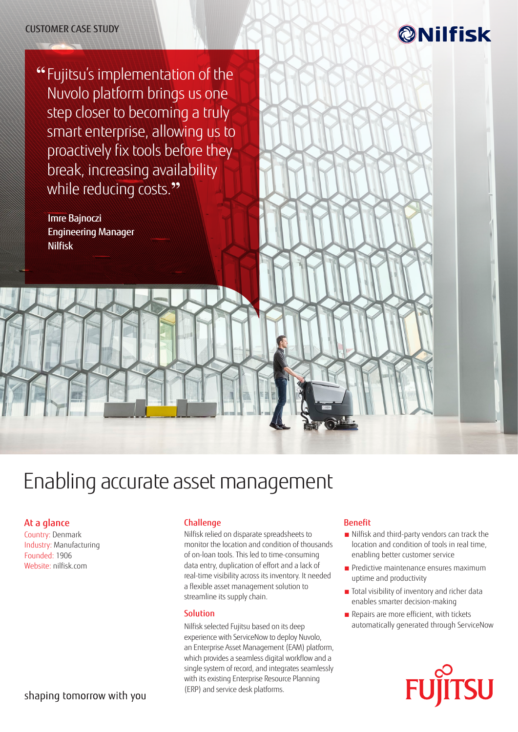## CUSTOMER CASE STUDY

## **@Nilfisk**

**"** Fujitsu's implementation of the Nuvolo platform brings us one step closer to becoming a truly smart enterprise, allowing us to proactively fix tools before they break, increasing availability while reducing costs.**"**

Imre Bajnoczi Engineering Manager Nilfisk

# Enabling accurate asset management

## At a glance

Country: Denmark Industry: Manufacturing Founded: 1906 Website: [nilfisk.com](https://www.nilfisk.com/en/Pages/default.aspx)

## shaping tomorrow with you

#### Challenge

Nilfisk relied on disparate spreadsheets to monitor the location and condition of thousands of on-loan tools. This led to time-consuming data entry, duplication of effort and a lack of real-time visibility across its inventory. It needed a flexible asset management solution to streamline its supply chain.

#### **Solution**

Nilfisk selected Fujitsu based on its deep experience with ServiceNow to deploy Nuvolo, an Enterprise Asset Management (EAM) platform, which provides a seamless digital workflow and a single system of record, and integrates seamlessly with its existing Enterprise Resource Planning (ERP) and service desk platforms.

#### Benefit

- Nilfisk and third-party vendors can track the location and condition of tools in real time, enabling better customer service
- **Predictive maintenance ensures maximum** uptime and productivity
- Total visibility of inventory and richer data enables smarter decision-making
- Repairs are more efficient, with tickets automatically generated through ServiceNow

**SU**